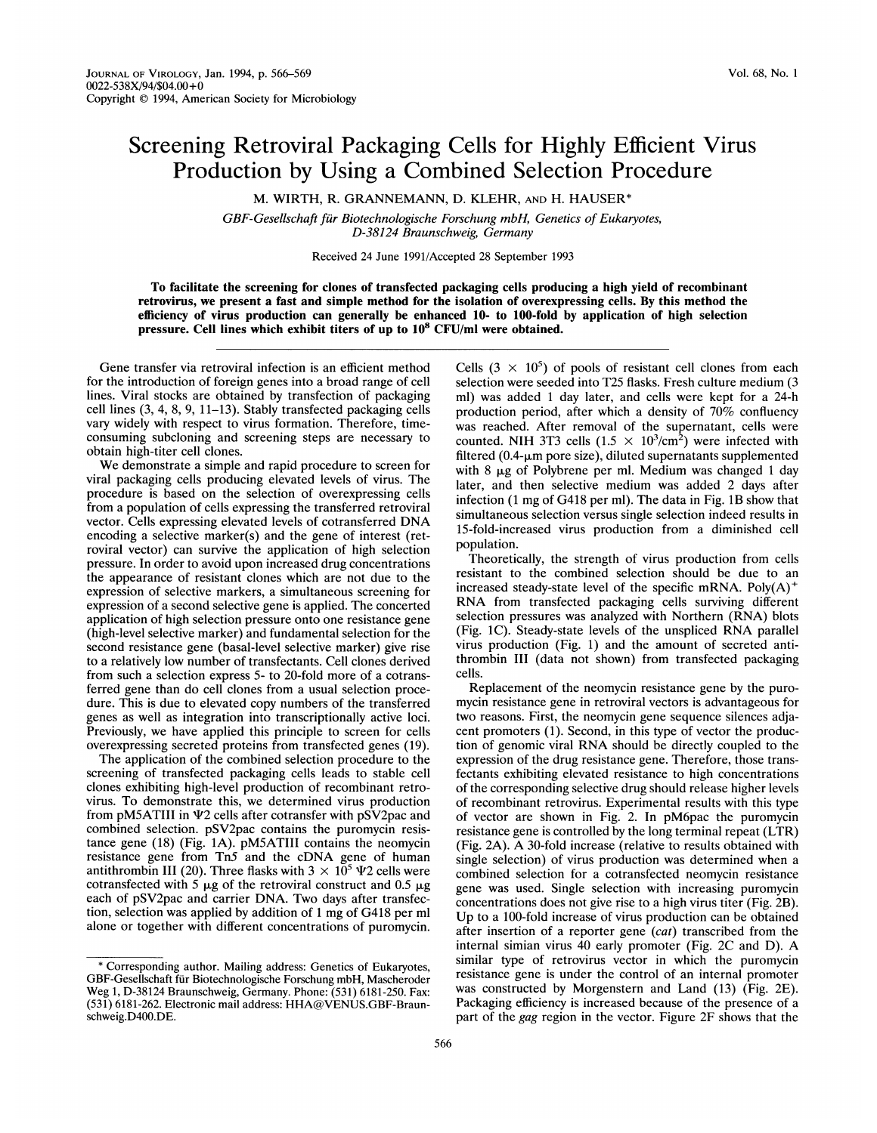## Screening Retroviral Packaging Cells for Highly Efficient Virus Production by Using a Combined Selection Procedure

M. WIRTH, R. GRANNEMANN, D. KLEHR, AND H. HAUSER\*

GBF-Gesellschaft fur Biotechnologische Forschung mbH, Genetics of Eukaryotes, D-38124 Braunschweig, Germany

Received 24 June 1991/Accepted 28 September 1993

To facilitate the screening for clones of transfected packaging cells producing a high yield of recombinant retrovirus, we present a fast and simple method for the isolation of overexpressing cells. By this method the efficiency of virus production can generally be enhanced 10- to 100-fold by application of high selection pressure. Cell lines which exhibit titers of up to 108 CFU/ml were obtained.

Gene transfer via retroviral infection is an efficient method for the introduction of foreign genes into a broad range of cell lines. Viral stocks are obtained by transfection of packaging cell lines (3, 4, 8, 9, 11-13). Stably transfected packaging cells vary widely with respect to virus formation. Therefore, timeconsuming subcloning and screening steps are necessary to obtain high-titer cell clones.

We demonstrate <sup>a</sup> simple and rapid procedure to screen for viral packaging cells producing elevated levels of virus. The procedure is based on the selection of overexpressing cells from a population of cells expressing the transferred retroviral vector. Cells expressing elevated levels of cotransferred DNA encoding a selective marker(s) and the gene of interest (retroviral vector) can survive the application of high selection pressure. In order to avoid upon increased drug concentrations the appearance of resistant clones which are not due to the expression of selective markers, a simultaneous screening for expression of a second selective gene is applied. The concerted application of high selection pressure onto one resistance gene (high-level selective marker) and fundamental selection for the second resistance gene (basal-level selective marker) give rise to a relatively low number of transfectants. Cell clones derived from such a selection express 5- to 20-fold more of a cotransferred gene than do cell clones from a usual selection procedure. This is due to elevated copy numbers of the transferred genes as well as integration into transcriptionally active loci. Previously, we have applied this principle to screen for cells overexpressing secreted proteins from transfected genes (19).

The application of the combined selection procedure to the screening of transfected packaging cells leads to stable cell clones exhibiting high-level production of recombinant retrovirus. To demonstrate this, we determined virus production from  $pM5ATIII$  in  $\Psi2$  cells after cotransfer with  $pSV2pac$  and combined selection. pSV2pac contains the puromycin resistance gene (18) (Fig. 1A). pM5ATIII contains the neomycin resistance gene from Tn5 and the cDNA gene of human antithrombin III (20). Three flasks with  $3 \times 10^5$   $\text{V2}$  cells were cotransfected with 5  $\mu$ g of the retroviral construct and 0.5  $\mu$ g each of pSV2pac and carrier DNA. Two days after transfection, selection was applied by addition of <sup>1</sup> mg of G418 per ml alone or together with different concentrations of puromycin. Cells  $(3 \times 10^5)$  of pools of resistant cell clones from each selection were seeded into T25 flasks. Fresh culture medium (3 ml) was added <sup>1</sup> day later, and cells were kept for a 24-h production period, after which a density of 70% confluency was reached. After removal of the supernatant, cells were counted. NIH 3T3 cells  $(1.5 \times 10^3/\text{cm}^2)$  were infected with filtered (0.4- $\mu$ m pore size), diluted supernatants supplemented with 8  $\mu$ g of Polybrene per ml. Medium was changed 1 day later, and then selective medium was added 2 days after infection (1 mg of G418 per ml). The data in Fig. 1B show that simultaneous selection versus single selection indeed results in 15-fold-increased virus production from a diminished cell population.

Theoretically, the strength of virus production from cells resistant to the combined selection should be due to an increased steady-state level of the specific mRNA.  $Poly(A)^+$ RNA from transfected packaging cells surviving different selection pressures was analyzed with Northern (RNA) blots (Fig. IC). Steady-state levels of the unspliced RNA parallel virus production (Fig. 1) and the amount of secreted antithrombin III (data not shown) from transfected packaging cells.

Replacement of the neomycin resistance gene by the puromycin resistance gene in retroviral vectors is advantageous for two reasons. First, the neomycin gene sequence silences adjacent promoters (1). Second, in this type of vector the production of genomic viral RNA should be directly coupled to the expression of the drug resistance gene. Therefore, those transfectants exhibiting elevated resistance to high concentrations of the corresponding selective drug should release higher levels of recombinant retrovirus. Experimental results with this type of vector are shown in Fig. 2. In pM6pac the puromycin resistance gene is controlled by the long terminal repeat (LTR) (Fig. 2A). A 30-fold increase (relative to results obtained with single selection) of virus production was determined when a combined selection for a cotransfected neomycin resistance gene was used. Single selection with increasing puromycin concentrations does not give rise to a high virus titer (Fig. 2B). Up to <sup>a</sup> 100-fold increase of virus production can be obtained after insertion of a reporter gene (cat) transcribed from the internal simian virus <sup>40</sup> early promoter (Fig. 2C and D). A similar type of retrovirus vector in which the puromycin resistance gene is under the control of an internal promoter was constructed by Morgenstern and Land (13) (Fig. 2E). Packaging efficiency is increased because of the presence of a part of the gag region in the vector. Figure 2F shows that the

<sup>\*</sup> Corresponding author. Mailing address: Genetics of Eukaryotes, GBF-Gesellschaft fur Biotechnologische Forschung mbH, Mascheroder Weg 1, D-38124 Braunschweig, Germany. Phone: (531) 6181-250. Fax: (531) 6181-262. Electronic mail address: HHA@VENUS.GBF-Braunschweig.D400.DE.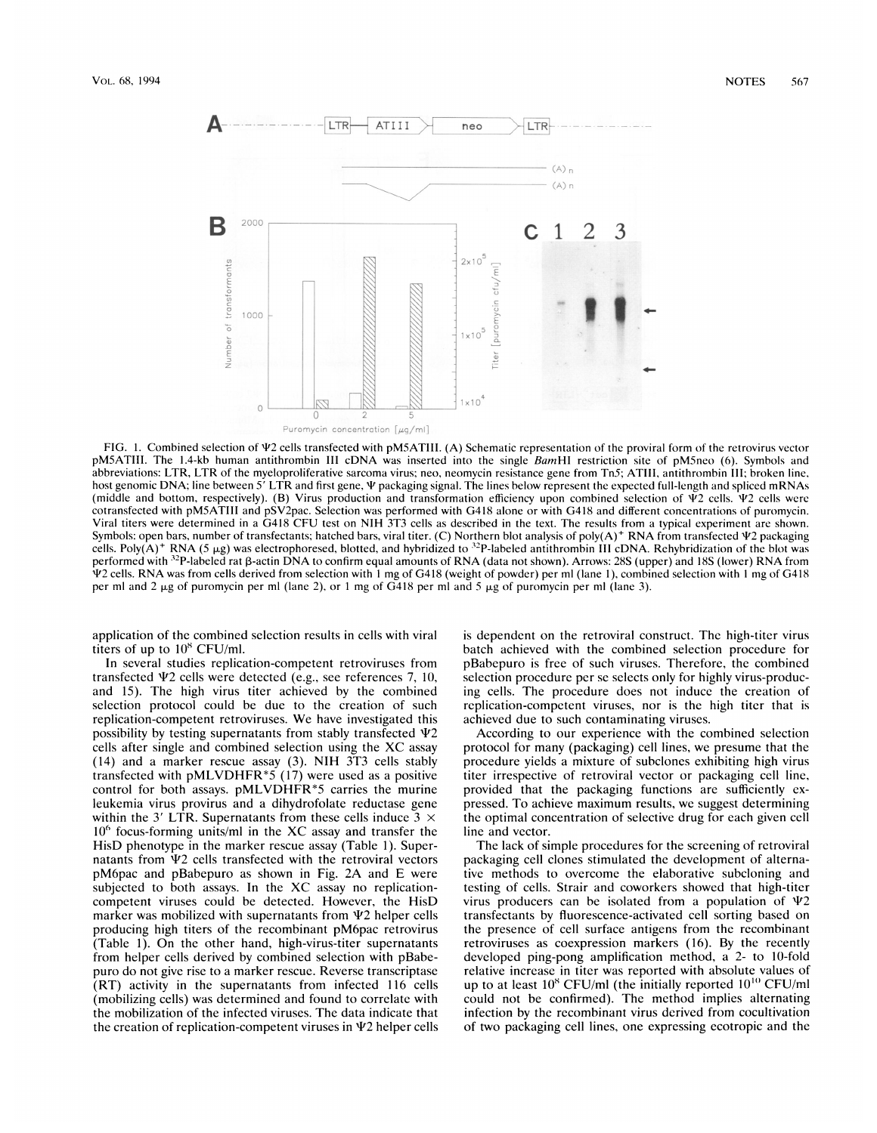

FIG. 1. Combined selection of  $\Psi$ 2 cells transfected with pM5ATIII. (A) Schematic representation of the proviral form of the retrovirus vector pM5ATIII. The 1.4-kb human antithrombin III cDNA was inserted into the single BamHI restriction site of pM5neo (6). Symbols and abbreviations: LTR, LTR of the myeloproliferative sarcoma virus; neo, neomycin resistance gene from Tn5; ATIII, antithrombin III; broken line, host genomic DNA; line between  $5'$  LTR and first gene,  $\Psi$  packaging signal. The lines below represent the expected full-length and spliced mRNAs (middle and bottom, respectively). (B) Virus production and transformation efficiency upon combined selection of  $\Psi$ 2 cells.  $\Psi$ 2 cells were cotransfected with pM5ATIII and pSV2pac. Selection was performed with G418 alone or with G418 and different concentrations of puromycin. Viral titers were determined in <sup>a</sup> G418 CFU test on NIH 3T3 cells as described in the text. The results from <sup>a</sup> typical experiment are shown. Symbols: open bars, number of transfectants; hatched bars, viral titer. (C) Northern blot analysis of poly( $A$ )<sup>+</sup> RNA from transfected  $\Psi$ 2 packaging cells. Poly(A)<sup>+</sup> RNA (5  $\mu$ g) was electrophoresed, blotted, and hybridized to <sup>32</sup>P-labeled antithrombin III cDNA. Rehybridization of the blot was performed with <sup>32</sup>P-labeled rat  $\beta$ -actin DNA to confirm equal amounts of RNA (data not shown). Arrows: 28S (upper) and 18S (lower) RNA from T2 cells. RNA was from cells derived from selection with <sup>I</sup> mg of G418 (weight of powder) per ml (lane 1), combined selection with <sup>I</sup> mg of G418 per ml and 2  $\mu$ g of puromycin per ml (lane 2), or 1 mg of G418 per ml and 5  $\mu$ g of puromycin per ml (lane 3).

application of the combined selection results in cells with viral titers of up to  $10^8$  CFU/ml.

In several studies replication-competent retroviruses from transfected  $\Psi$ 2 cells were detected (e.g., see references 7, 10, and 15). The high virus titer achieved by the combined selection protocol could be due to the creation of such replication-competent retroviruses. We have investigated this possibility by testing supernatants from stably transfected  $\Psi$ 2 cells after single and combined selection using the XC assay (14) and <sup>a</sup> marker rescue assay (3). NIH 3T3 cells stably transfected with pMLVDHFR $*5$  (17) were used as a positive control for both assays. pMLVDHFR\*5 carries the murine leukemia virus provirus and a dihydrofolate reductase gene within the 3' LTR. Supernatants from these cells induce  $3 \times$  $10<sup>6</sup>$  focus-forming units/ml in the XC assay and transfer the HisD phenotype in the marker rescue assay (Table 1). Supernatants from  $\Psi$ 2 cells transfected with the retroviral vectors pM6pac and pBabepuro as shown in Fig. 2A and E were subjected to both assays. In the XC assay no replicationcompetent viruses could be detected. However, the HisD marker was mobilized with supernatants from  $\Psi$ 2 helper cells producing high titers of the recombinant pM6pac retrovirus (Table 1). On the other hand, high-virus-titer supernatants from helper cells derived by combined selection with pBabepuro do not give rise to a marker rescue. Reverse transcriptase (RT) activity in the supernatants from infected 116 cells (mobilizing cells) was determined and found to correlate with the mobilization of the infected viruses. The data indicate that the creation of replication-competent viruses in  $\Psi$ 2 helper cells

is dependent on the retroviral construct. The high-titer virus batch achieved with the combined selection procedure for pBabepuro is free of such viruses. Therefore, the combined selection procedure per se selects only for highly virus-producing cells. The procedure does not induce the creation of replication-competent viruses, nor is the high titer that is achieved due to such contaminating viruses.

According to our experience with the combined selection protocol for many (packaging) cell lines, we presume that the procedure yields a mixture of subclones exhibiting high virus titer irrespective of retroviral vector or packaging cell line, provided that the packaging functions are sufficiently expressed. To achieve maximum results, we suggest determining the optimal concentration of selective drug for each given cell line and vector.

The lack of simple procedures for the screening of retroviral packaging cell clones stimulated the development of alternative methods to overcome the elaborative subcloning and testing of cells. Strair and coworkers showed that high-titer virus producers can be isolated from a population of  $\Psi$ 2 transfectants by fluorescence-activated cell sorting based on the presence of cell surface antigens from the recombinant retroviruses as coexpression markers (16). By the recently developed ping-pong amplification method, a 2- to 10-fold relative increase in titer was reported with absolute values of up to at least  $10^8$  CFU/ml (the initially reported  $10^{10}$  CFU/ml could not be confirmed). The method implies alternating infection by the recombinant virus derived from cocultivation of two packaging cell lines, one expressing ecotropic and the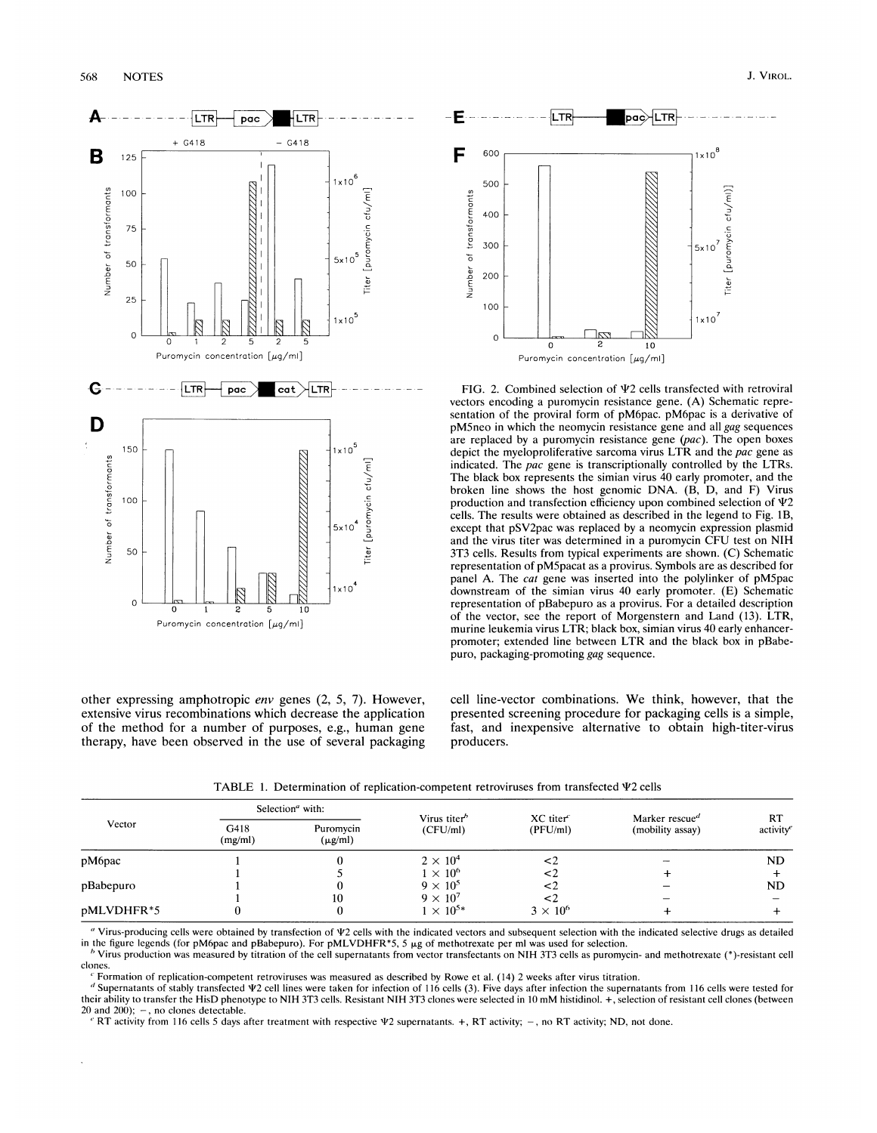



FIG. 2. Combined selection of  $\Psi$ 2 cells transfected with retroviral vectors encoding a puromycin resistance gene. (A) Schematic representation of the proviral form of pM6pac. pM6pac is a derivative of pM5neo in which the neomycin resistance gene and all gag sequences are replaced by a puromycin resistance gene  $(pac)$ . The open boxes depict the myeloproliferative sarcoma virus LTR and the *pac* gene as indicated. The pac gene is transcriptionally controlled by the LTRs. The black box represents the simian virus 40 early promoter, and the broken line shows the host genomic DNA. (B, D, and F) Virus production and transfection efficiency upon combined selection of  $\Psi 2$ cells. The results were obtained as described in the legend to Fig. IB, except that pSV2pac was replaced by a neomycin expression plasmid and the virus titer was determined in <sup>a</sup> puromycin CFU test on NIH 3T3 cells. Results from typical experiments are shown. (C) Schematic representation of pM5pacat as a provirus. Symbols are as described for panel A. The *cat* gene was inserted into the polylinker of pM5pac downstream of the simian virus 40 early promoter. (E) Schematic representation of pBabepuro as a provirus. For a detailed description of the vector, see the report of Morgenstern and Land (13). LTR, murine leukemia virus LTR; black box, simian virus 40 early enhancerpromoter; extended line between LTR and the black box in pBabepuro, packaging-promoting gag sequence.

other expressing amphotropic env genes (2, 5, 7). However, extensive virus recombinations which decrease the application of the method for a number of purposes, e.g., human gene therapy, have been observed in the use of several packaging cell line-vector combinations. We think, however, that the presented screening procedure for packaging cells is a simple, fast, and inexpensive alternative to obtain high-titer-virus producers.

TABLE 1. Determination of replication-competent retroviruses from transfected  $\Psi$ 2 cells

| Vector     | Selection <sup>a</sup> with: |                           |                                      |                                   |                                                |                |
|------------|------------------------------|---------------------------|--------------------------------------|-----------------------------------|------------------------------------------------|----------------|
|            | G418<br>(mg/ml)              | Puromycin<br>$(\mu g/ml)$ | Virus titer <sup>b</sup><br>(CFU/ml) | $XC$ titer $\epsilon$<br>(PFU/ml) | Marker rescue <sup>d</sup><br>(mobility assay) | RT<br>activity |
| pM6pac     |                              |                           | $2 \times 10^4$                      | ≤2                                |                                                | <b>ND</b>      |
|            |                              |                           | $1 \times 10^6$                      | <2                                |                                                |                |
| pBabepuro  |                              |                           | $9 \times 10^5$                      |                                   |                                                | <b>ND</b>      |
|            |                              | 10                        | $9 \times 10^7$                      |                                   |                                                |                |
| pMLVDHFR*5 |                              |                           | $1 \times 10^{5*}$                   | $3 \times 10^6$                   |                                                |                |

" Virus-producing cells were obtained by transfection of  $\Psi$ 2 cells with the indicated vectors and subsequent selection with the indicated selective drugs as detailed in the figure legends (for pM6pac and pBabepuro). For pMLVDHFR\*5, 5  $\mu$ g of methotrexate per ml was used for selection.

 $^b$  Virus production was measured by titration of the cell supernatants from vector transfectants on NIH 3T3 cells as puromycin- and methotrexate (\*)-resistant cell clones.

Formation of replication-competent retroviruses was measured as described by Rowe et al. (14) 2 weeks after virus titration.

<sup>d</sup> Supernatants of stably transfected  $\Psi$ 2 cell lines were taken for infection of 116 cells (3). Five days after infection the supernatants from 116 cells were tested for their ability to transfer the HisD phenotype to NIH 3T3 cells. Resistant NIH 3T3 clones were selected in <sup>10</sup> mM histidinol. +, selection of resistant cell clones (between 20 and 200);  $-$ , no clones detectable.

 $' RT$  activity from 116 cells 5 days after treatment with respective  $\Psi$ 2 supernatants. +, RT activity; -, no RT activity; ND, not done.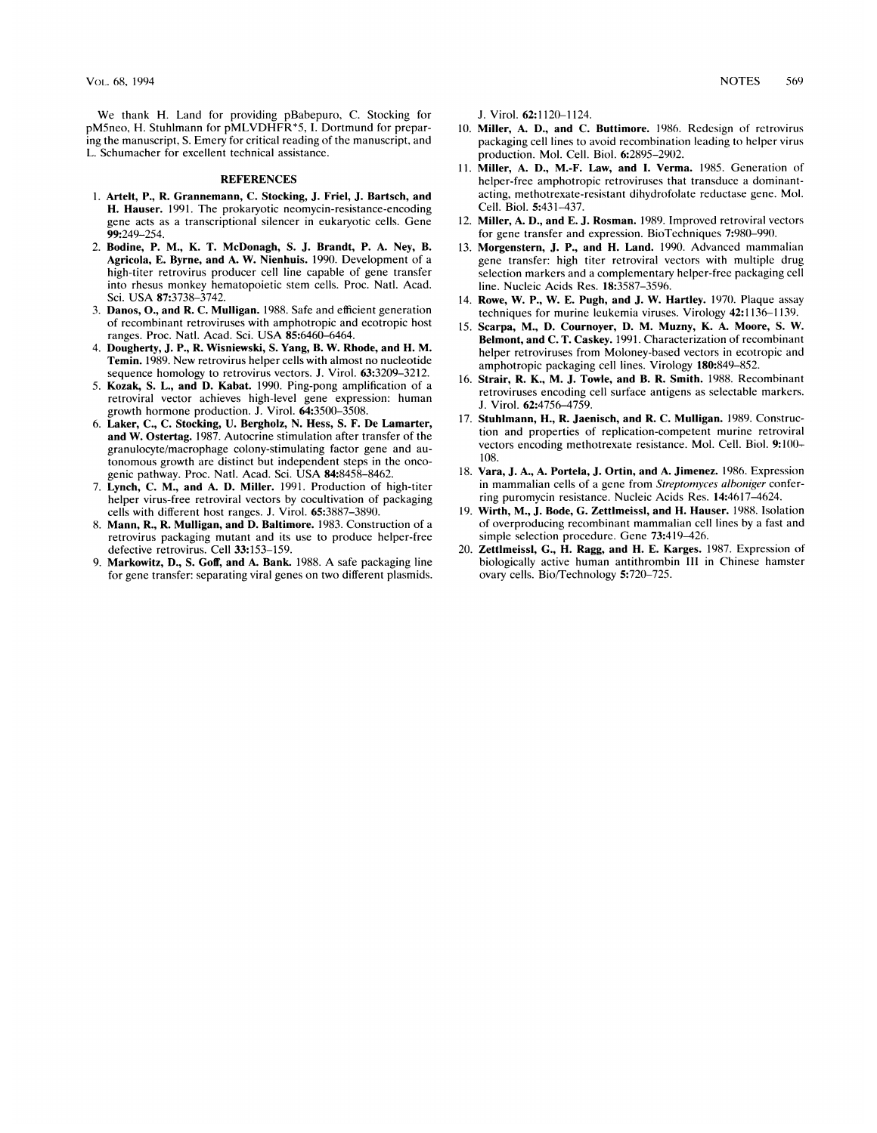We thank H. Land for providing pBabepuro, C. Stocking for pM5neo, H. Stuhlmann for pMLVDHFR\*5, I. Dortmund for preparing the manuscript, S. Emery for critical reading of the manuscript, and L. Schumacher for excellent technical assistance.

## **REFERENCES**

- 1. Artelt, P., R. Grannemann, C. Stocking, J. Friel, J. Bartsch, and H. Hauser. 1991. The prokaryotic neomycin-resistance-encoding gene acts as a transcriptional silencer in eukaryotic cells. Gene 99:249-254.
- 2. Bodine, P. M., K. T. McDonagh, S. J. Brandt, P. A. Ney, B. Agricola, E. Byrne, and A. W. Nienhuis. 1990. Development of a high-titer retrovirus producer cell line capable of gene transfer into rhesus monkey hematopoietic stem cells. Proc. Natl. Acad. Sci. USA 87:3738-3742.
- 3. Danos, O., and R. C. Mulligan. 1988. Safe and efficient generation of recombinant retroviruses with amphotropic and ecotropic host ranges. Proc. Natl. Acad. Sci. USA 85:6460-6464.
- 4. Dougherty, J. P., R. Wisniewski, S. Yang, B. W. Rhode, and H. M. Temin. 1989. New retrovirus helper cells with almost no nucleotide sequence homology to retrovirus vectors. J. Virol. 63:3209-3212.
- 5. Kozak, S. L., and D. Kabat. 1990. Ping-pong amplification of a retroviral vector achieves high-level gene expression: human growth hormone production. J. Virol. 64:3500-3508.
- 6. Laker, C., C. Stocking, U. Bergholz, N. Hess, S. F. De Lamarter, and W. Ostertag. 1987. Autocrine stimulation after transfer of the granulocyte/macrophage colony-stimulating factor gene and autonomous growth are distinct but independent steps in the oncogenic pathway. Proc. Natl. Acad. Sci. USA 84:8458-8462.
- 7. Lynch, C. M., and A. D. Miller. 1991. Production of high-titer helper virus-free retroviral vectors by cocultivation of packaging cells with different host ranges. J. Virol. 65:3887-3890.
- Mann, R., R. Mulligan, and D. Baltimore. 1983. Construction of a retrovirus packaging mutant and its use to produce helper-free defective retrovirus. Cell 33:153-159.
- 9. Markowitz, D., S. Goff, and A. Bank. 1988. A safe packaging line for gene transfer: separating viral genes on two different plasmids.

J. Virol. 62:1120-1124.

- 10. Miller, A. D., and C. Buttimore. 1986. Redesign of retrovirus packaging cell lines to avoid recombination leading to helper virus production. Mol. Cell. Biol. 6:2895-2902.
- 11. Miller, A. D., M.-F. Law, and I. Verma. 1985. Generation of helper-free amphotropic retroviruses that transduce a dominantacting, methotrexate-resistant dihydrofolate reductase gene. Mol. Cell. Biol. 5:431-437.
- 12. Miller, A. D., and E. J. Rosman. 1989. Improved retroviral vectors for gene transfer and expression. BioTechniques 7:980-990.
- 13. Morgenstern, J. P., and H. Land. 1990. Advanced mammalian gene transfer: high titer retroviral vectors with multiple drug selection markers and a complementary helper-free packaging cell line. Nucleic Acids Res. 18:3587-3596.
- 14. Rowe, W. P., W. E. Pugh, and J. W. Hartley. 1970. Plaque assay techniques for murine leukemia viruses. Virology 42:1136-1139.
- 15. Scarpa, M., D. Cournoyer, D. M. Muzny, K. A. Moore, S. W. Belmont, and C. T. Caskey. 1991. Characterization of recombinant helper retroviruses from Moloney-based vectors in ecotropic and amphotropic packaging cell lines. Virology 180:849-852.
- 16. Strair, R. K., M. J. Towle, and B. R. Smith. 1988. Recombinant retroviruses encoding cell surface antigens as selectable markers. J. Virol. 62:4756-4759.
- 17. Stuhlmann, H., R. Jaenisch, and R. C. Mulligan. 1989. Construction and properties of replication-competent murine retroviral vectors encoding methotrexate resistance. Mol. Cell. Biol. 9:100- 108.
- 18. Vara, J. A., A. Portela, J. Ortin, and A. Jimenez. 1986. Expression in mammalian cells of a gene from Streptomyces alboniger conferring puromycin resistance. Nucleic Acids Res. 14:4617-4624.
- 19. Wirth, M., J. Bode, G. Zettlmeissl, and H. Hauser. 1988. Isolation of overproducing recombinant mammalian cell lines by a fast and simple selection procedure. Gene 73:419-426.
- 20. Zettlmeissl, G., H. Ragg, and H. E. Karges. 1987. Expression of biologically active human antithrombin III in Chinese hamster ovary cells. Bio/Technology 5:720-725.